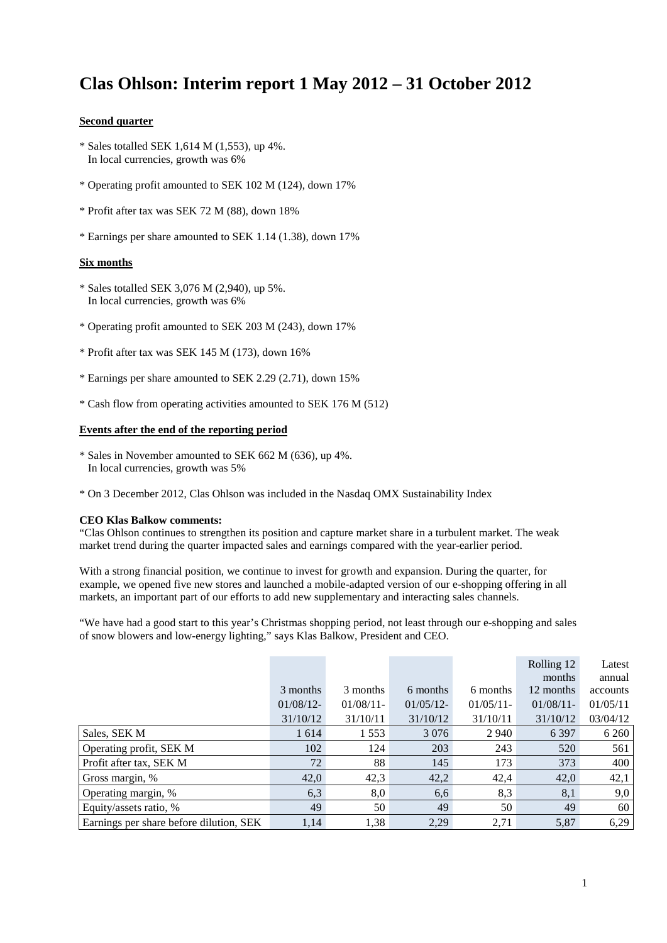# **Clas Ohlson: Interim report 1 May 2012 – 31 October 2012**

#### **Second quarter**

- \* Sales totalled SEK 1,614 M (1,553), up 4%. In local currencies, growth was 6%
- \* Operating profit amounted to SEK 102 M (124), down 17%
- \* Profit after tax was SEK 72 M (88), down 18%
- \* Earnings per share amounted to SEK 1.14 (1.38), down 17%

### **Six months**

- \* Sales totalled SEK 3,076 M (2,940), up 5%. In local currencies, growth was 6%
- \* Operating profit amounted to SEK 203 M (243), down 17%
- \* Profit after tax was SEK 145 M (173), down 16%
- \* Earnings per share amounted to SEK 2.29 (2.71), down 15%
- \* Cash flow from operating activities amounted to SEK 176 M (512)

### **Events after the end of the reporting period**

- \* Sales in November amounted to SEK 662 M (636), up 4%. In local currencies, growth was 5%
- \* On 3 December 2012, Clas Ohlson was included in the Nasdaq OMX Sustainability Index

#### **CEO Klas Balkow comments:**

"Clas Ohlson continues to strengthen its position and capture market share in a turbulent market. The weak market trend during the quarter impacted sales and earnings compared with the year-earlier period.

With a strong financial position, we continue to invest for growth and expansion. During the quarter, for example, we opened five new stores and launched a mobile-adapted version of our e-shopping offering in all markets, an important part of our efforts to add new supplementary and interacting sales channels.

"We have had a good start to this year's Christmas shopping period, not least through our e-shopping and sales of snow blowers and low-energy lighting," says Klas Balkow, President and CEO.

|                                         |              |              |              |              | Rolling 12   | Latest   |
|-----------------------------------------|--------------|--------------|--------------|--------------|--------------|----------|
|                                         |              |              |              |              | months       | annual   |
|                                         | 3 months     | 3 months     | 6 months     | 6 months     | 12 months    | accounts |
|                                         | $01/08/12$ - | $01/08/11$ - | $01/05/12$ - | $01/05/11$ - | $01/08/11$ - | 01/05/11 |
|                                         | 31/10/12     | 31/10/11     | 31/10/12     | 31/10/11     | 31/10/12     | 03/04/12 |
| Sales, SEK M                            | 1 6 1 4      | 1 5 5 3      | 3 0 7 6      | 2 9 4 0      | 6 3 9 7      | 6 2 6 0  |
| Operating profit, SEK M                 | 102          | 124          | 203          | 243          | 520          | 561      |
| Profit after tax, SEK M                 | 72           | 88           | 145          | 173          | 373          | 400      |
| Gross margin, %                         | 42,0         | 42,3         | 42,2         | 42,4         | 42,0         | 42,1     |
| Operating margin, %                     | 6,3          | 8,0          | 6,6          | 8,3          | 8,1          | 9,0      |
| Equity/assets ratio, %                  | 49           | 50           | 49           | 50           | 49           | 60       |
| Earnings per share before dilution, SEK | 1,14         | 1,38         | 2,29         | 2,71         | 5,87         | 6,29     |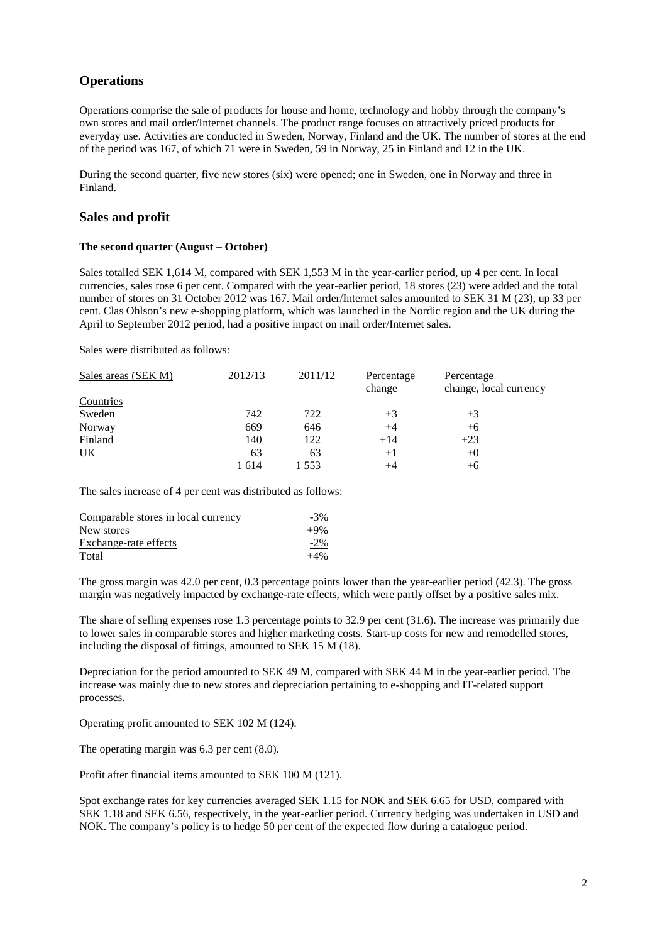### **Operations**

Operations comprise the sale of products for house and home, technology and hobby through the company's own stores and mail order/Internet channels. The product range focuses on attractively priced products for everyday use. Activities are conducted in Sweden, Norway, Finland and the UK. The number of stores at the end of the period was 167, of which 71 were in Sweden, 59 in Norway, 25 in Finland and 12 in the UK.

During the second quarter, five new stores (six) were opened; one in Sweden, one in Norway and three in Finland.

### **Sales and profit**

#### **The second quarter (August – October)**

Sales totalled SEK 1,614 M, compared with SEK 1,553 M in the year-earlier period, up 4 per cent. In local currencies, sales rose 6 per cent. Compared with the year-earlier period, 18 stores (23) were added and the total number of stores on 31 October 2012 was 167. Mail order/Internet sales amounted to SEK 31 M (23), up 33 per cent. Clas Ohlson's new e-shopping platform, which was launched in the Nordic region and the UK during the April to September 2012 period, had a positive impact on mail order/Internet sales.

Sales were distributed as follows:

| Sales areas (SEK M) | 2012/13   | 2011/12 | Percentage<br>change | Percentage<br>change, local currency |
|---------------------|-----------|---------|----------------------|--------------------------------------|
| Countries           |           |         |                      |                                      |
| Sweden              | 742       | 722     | $+3$                 | $+3$                                 |
|                     |           |         |                      |                                      |
| Norway              | 669       | 646     | $+4$                 | $+6$                                 |
| Finland             | 140       | 122     | $+14$                | $+23$                                |
| UK                  | <u>63</u> | 63      | $\pm 1$              | $\pm 0$                              |
|                     | 1 614     | 1 553   | +4                   | +6                                   |

The sales increase of 4 per cent was distributed as follows:

| Comparable stores in local currency | $-3\%$ |
|-------------------------------------|--------|
| New stores                          | $+9\%$ |
| Exchange-rate effects               | $-2\%$ |
| Total                               | $+4\%$ |

The gross margin was 42.0 per cent, 0.3 percentage points lower than the year-earlier period (42.3). The gross margin was negatively impacted by exchange-rate effects, which were partly offset by a positive sales mix.

The share of selling expenses rose 1.3 percentage points to 32.9 per cent (31.6). The increase was primarily due to lower sales in comparable stores and higher marketing costs. Start-up costs for new and remodelled stores, including the disposal of fittings, amounted to SEK 15 M (18).

Depreciation for the period amounted to SEK 49 M, compared with SEK 44 M in the year-earlier period. The increase was mainly due to new stores and depreciation pertaining to e-shopping and IT-related support processes.

Operating profit amounted to SEK 102 M (124).

The operating margin was 6.3 per cent (8.0).

Profit after financial items amounted to SEK 100 M (121).

Spot exchange rates for key currencies averaged SEK 1.15 for NOK and SEK 6.65 for USD, compared with SEK 1.18 and SEK 6.56, respectively, in the year-earlier period. Currency hedging was undertaken in USD and NOK. The company's policy is to hedge 50 per cent of the expected flow during a catalogue period.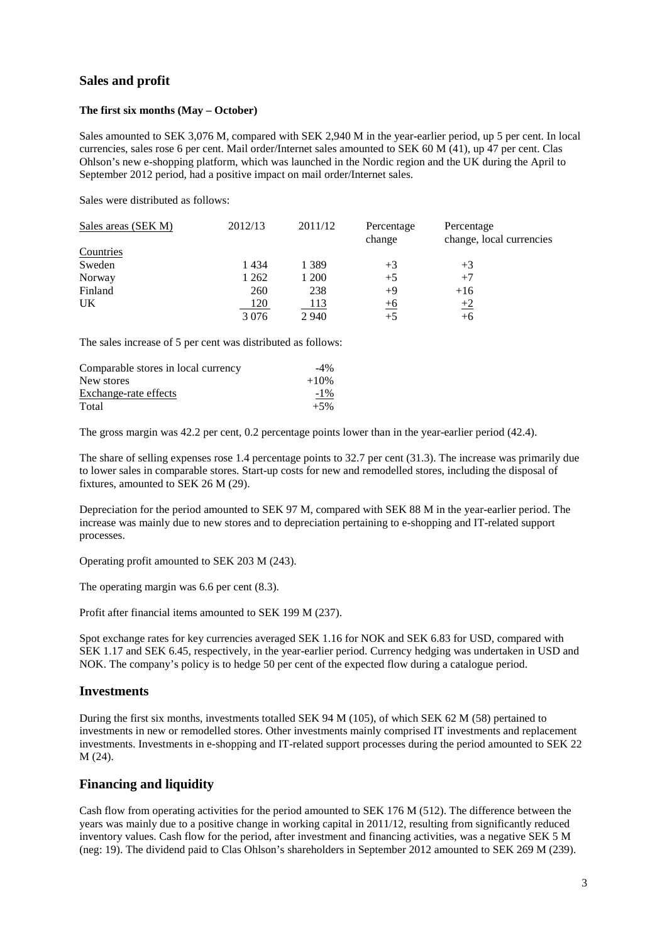### **Sales and profit**

#### **The first six months (May – October)**

Sales amounted to SEK 3,076 M, compared with SEK 2,940 M in the year-earlier period, up 5 per cent. In local currencies, sales rose 6 per cent. Mail order/Internet sales amounted to SEK 60 M (41), up 47 per cent. Clas Ohlson's new e-shopping platform, which was launched in the Nordic region and the UK during the April to September 2012 period, had a positive impact on mail order/Internet sales.

Sales were distributed as follows:

| Sales areas (SEK M) | 2012/13    | 2011/12     | Percentage<br>change | Percentage<br>change, local currencies |
|---------------------|------------|-------------|----------------------|----------------------------------------|
| Countries           |            |             |                      |                                        |
| Sweden              | 1434       | 1 3 8 9     | $+3$                 | $+3$                                   |
| Norway              | 1 262      | 1 200       | $+5$                 | $+7$                                   |
| Finland             | 260        | 238         | $+9$                 | $+16$                                  |
| UK                  | <u>120</u> | <u> 113</u> | $\pm 6$              | $\pm 2$                                |
|                     | 3076       | 2 9 4 0     | $+5$                 | $+6$                                   |

The sales increase of 5 per cent was distributed as follows:

| Comparable stores in local currency | $-4\%$ |
|-------------------------------------|--------|
| New stores                          | $+10%$ |
| Exchange-rate effects               | $-1\%$ |
| Total                               | $+5%$  |

The gross margin was 42.2 per cent, 0.2 percentage points lower than in the year-earlier period (42.4).

The share of selling expenses rose 1.4 percentage points to 32.7 per cent (31.3). The increase was primarily due to lower sales in comparable stores. Start-up costs for new and remodelled stores, including the disposal of fixtures, amounted to SEK 26 M (29).

Depreciation for the period amounted to SEK 97 M, compared with SEK 88 M in the year-earlier period. The increase was mainly due to new stores and to depreciation pertaining to e-shopping and IT-related support processes.

Operating profit amounted to SEK 203 M (243).

The operating margin was 6.6 per cent (8.3).

Profit after financial items amounted to SEK 199 M (237).

Spot exchange rates for key currencies averaged SEK 1.16 for NOK and SEK 6.83 for USD, compared with SEK 1.17 and SEK 6.45, respectively, in the year-earlier period. Currency hedging was undertaken in USD and NOK. The company's policy is to hedge 50 per cent of the expected flow during a catalogue period.

### **Investments**

During the first six months, investments totalled SEK 94 M (105), of which SEK 62 M (58) pertained to investments in new or remodelled stores. Other investments mainly comprised IT investments and replacement investments. Investments in e-shopping and IT-related support processes during the period amounted to SEK 22 M (24).

### **Financing and liquidity**

Cash flow from operating activities for the period amounted to SEK 176 M (512). The difference between the years was mainly due to a positive change in working capital in 2011/12, resulting from significantly reduced inventory values. Cash flow for the period, after investment and financing activities, was a negative SEK 5 M (neg: 19). The dividend paid to Clas Ohlson's shareholders in September 2012 amounted to SEK 269 M (239).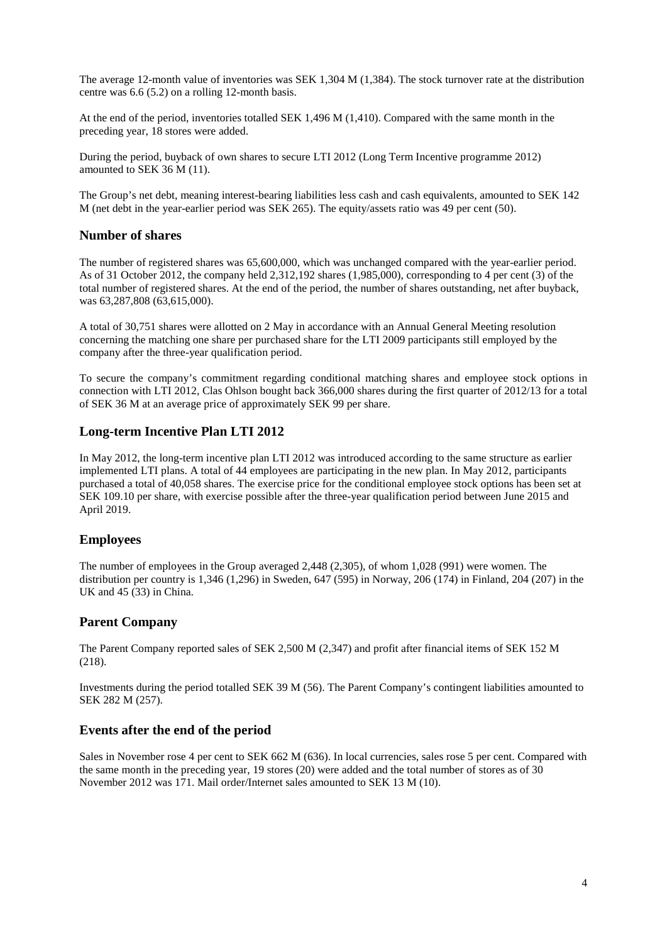The average 12-month value of inventories was SEK 1,304 M (1,384). The stock turnover rate at the distribution centre was 6.6 (5.2) on a rolling 12-month basis.

At the end of the period, inventories totalled SEK 1,496 M (1,410). Compared with the same month in the preceding year, 18 stores were added.

During the period, buyback of own shares to secure LTI 2012 (Long Term Incentive programme 2012) amounted to SEK 36 M (11).

The Group's net debt, meaning interest-bearing liabilities less cash and cash equivalents, amounted to SEK 142 M (net debt in the year-earlier period was SEK 265). The equity/assets ratio was 49 per cent (50).

### **Number of shares**

The number of registered shares was 65,600,000, which was unchanged compared with the year-earlier period. As of 31 October 2012, the company held 2,312,192 shares (1,985,000), corresponding to 4 per cent (3) of the total number of registered shares. At the end of the period, the number of shares outstanding, net after buyback, was 63,287,808 (63,615,000).

A total of 30,751 shares were allotted on 2 May in accordance with an Annual General Meeting resolution concerning the matching one share per purchased share for the LTI 2009 participants still employed by the company after the three-year qualification period.

To secure the company's commitment regarding conditional matching shares and employee stock options in connection with LTI 2012, Clas Ohlson bought back 366,000 shares during the first quarter of 2012/13 for a total of SEK 36 M at an average price of approximately SEK 99 per share.

### **Long-term Incentive Plan LTI 2012**

In May 2012, the long-term incentive plan LTI 2012 was introduced according to the same structure as earlier implemented LTI plans. A total of 44 employees are participating in the new plan. In May 2012, participants purchased a total of 40,058 shares. The exercise price for the conditional employee stock options has been set at SEK 109.10 per share, with exercise possible after the three-year qualification period between June 2015 and April 2019.

### **Employees**

The number of employees in the Group averaged 2,448 (2,305), of whom 1,028 (991) were women. The distribution per country is 1,346 (1,296) in Sweden, 647 (595) in Norway, 206 (174) in Finland, 204 (207) in the UK and 45 (33) in China.

### **Parent Company**

The Parent Company reported sales of SEK 2,500 M (2,347) and profit after financial items of SEK 152 M (218).

Investments during the period totalled SEK 39 M (56). The Parent Company's contingent liabilities amounted to SEK 282 M (257).

### **Events after the end of the period**

Sales in November rose 4 per cent to SEK 662 M (636). In local currencies, sales rose 5 per cent. Compared with the same month in the preceding year, 19 stores (20) were added and the total number of stores as of 30 November 2012 was 171. Mail order/Internet sales amounted to SEK 13 M (10).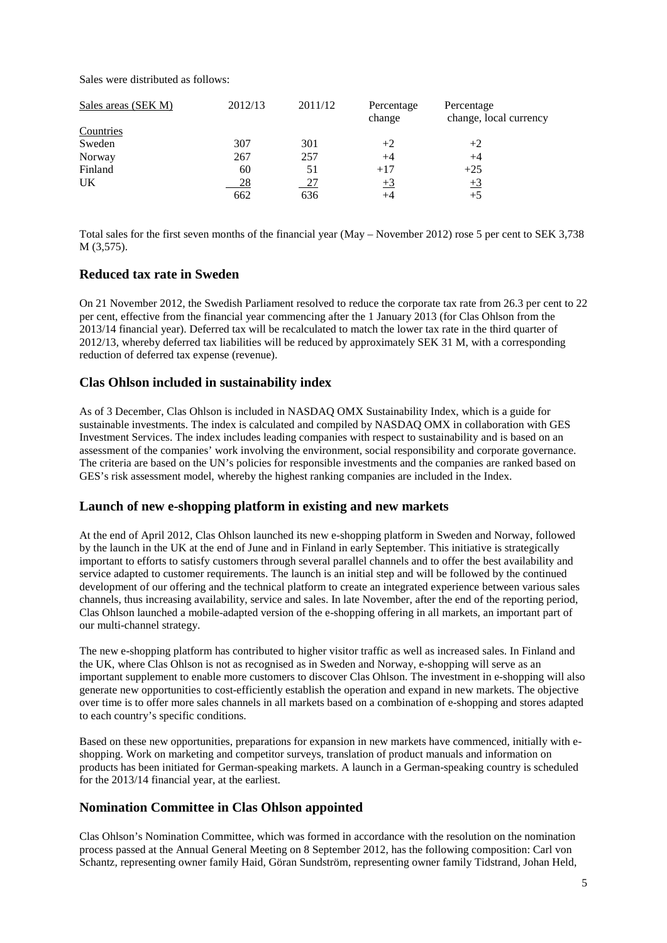Sales were distributed as follows:

| Sales areas (SEK M) | 2012/13 | 2011/12   | Percentage<br>change | Percentage<br>change, local currency |
|---------------------|---------|-----------|----------------------|--------------------------------------|
| Countries           |         |           |                      |                                      |
| Sweden              | 307     | 301       | $+2$                 | $+2$                                 |
| Norway              | 267     | 257       | $+4$                 | $+4$                                 |
| Finland             | 60      | 51        | $+17$                | $+25$                                |
| UK                  | 28      | <u>27</u> | $+3$                 | $+3$                                 |
|                     | 662     | 636       |                      | $+5$                                 |

Total sales for the first seven months of the financial year (May – November 2012) rose 5 per cent to SEK 3,738 M (3,575).

### **Reduced tax rate in Sweden**

On 21 November 2012, the Swedish Parliament resolved to reduce the corporate tax rate from 26.3 per cent to 22 per cent, effective from the financial year commencing after the 1 January 2013 (for Clas Ohlson from the 2013/14 financial year). Deferred tax will be recalculated to match the lower tax rate in the third quarter of 2012/13, whereby deferred tax liabilities will be reduced by approximately SEK 31 M, with a corresponding reduction of deferred tax expense (revenue).

### **Clas Ohlson included in sustainability index**

As of 3 December, Clas Ohlson is included in NASDAQ OMX Sustainability Index, which is a guide for sustainable investments. The index is calculated and compiled by NASDAQ OMX in collaboration with GES Investment Services. The index includes leading companies with respect to sustainability and is based on an assessment of the companies' work involving the environment, social responsibility and corporate governance. The criteria are based on the UN's policies for responsible investments and the companies are ranked based on GES's risk assessment model, whereby the highest ranking companies are included in the Index.

### **Launch of new e-shopping platform in existing and new markets**

At the end of April 2012, Clas Ohlson launched its new e-shopping platform in Sweden and Norway, followed by the launch in the UK at the end of June and in Finland in early September. This initiative is strategically important to efforts to satisfy customers through several parallel channels and to offer the best availability and service adapted to customer requirements. The launch is an initial step and will be followed by the continued development of our offering and the technical platform to create an integrated experience between various sales channels, thus increasing availability, service and sales. In late November, after the end of the reporting period, Clas Ohlson launched a mobile-adapted version of the e-shopping offering in all markets, an important part of our multi-channel strategy.

The new e-shopping platform has contributed to higher visitor traffic as well as increased sales. In Finland and the UK, where Clas Ohlson is not as recognised as in Sweden and Norway, e-shopping will serve as an important supplement to enable more customers to discover Clas Ohlson. The investment in e-shopping will also generate new opportunities to cost-efficiently establish the operation and expand in new markets. The objective over time is to offer more sales channels in all markets based on a combination of e-shopping and stores adapted to each country's specific conditions.

Based on these new opportunities, preparations for expansion in new markets have commenced, initially with eshopping. Work on marketing and competitor surveys, translation of product manuals and information on products has been initiated for German-speaking markets. A launch in a German-speaking country is scheduled for the 2013/14 financial year, at the earliest.

### **Nomination Committee in Clas Ohlson appointed**

Clas Ohlson's Nomination Committee, which was formed in accordance with the resolution on the nomination process passed at the Annual General Meeting on 8 September 2012, has the following composition: Carl von Schantz, representing owner family Haid, Göran Sundström, representing owner family Tidstrand, Johan Held,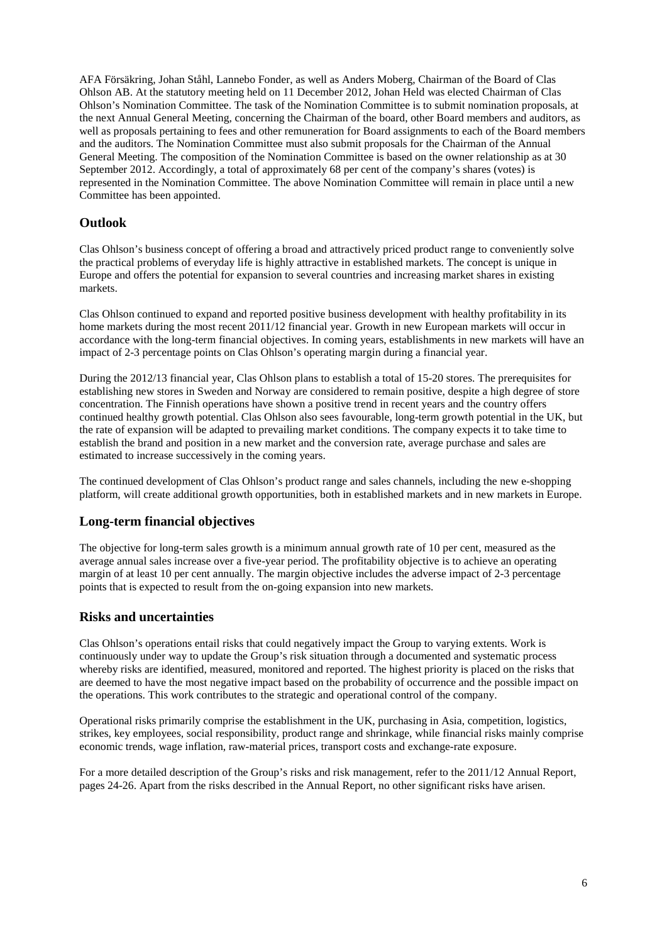AFA Försäkring, Johan Ståhl, Lannebo Fonder, as well as Anders Moberg, Chairman of the Board of Clas Ohlson AB. At the statutory meeting held on 11 December 2012, Johan Held was elected Chairman of Clas Ohlson's Nomination Committee. The task of the Nomination Committee is to submit nomination proposals, at the next Annual General Meeting, concerning the Chairman of the board, other Board members and auditors, as well as proposals pertaining to fees and other remuneration for Board assignments to each of the Board members and the auditors. The Nomination Committee must also submit proposals for the Chairman of the Annual General Meeting. The composition of the Nomination Committee is based on the owner relationship as at 30 September 2012. Accordingly, a total of approximately 68 per cent of the company's shares (votes) is represented in the Nomination Committee. The above Nomination Committee will remain in place until a new Committee has been appointed.

### **Outlook**

Clas Ohlson's business concept of offering a broad and attractively priced product range to conveniently solve the practical problems of everyday life is highly attractive in established markets. The concept is unique in Europe and offers the potential for expansion to several countries and increasing market shares in existing markets.

Clas Ohlson continued to expand and reported positive business development with healthy profitability in its home markets during the most recent 2011/12 financial year. Growth in new European markets will occur in accordance with the long-term financial objectives. In coming years, establishments in new markets will have an impact of 2-3 percentage points on Clas Ohlson's operating margin during a financial year.

During the 2012/13 financial year, Clas Ohlson plans to establish a total of 15-20 stores. The prerequisites for establishing new stores in Sweden and Norway are considered to remain positive, despite a high degree of store concentration. The Finnish operations have shown a positive trend in recent years and the country offers continued healthy growth potential. Clas Ohlson also sees favourable, long-term growth potential in the UK, but the rate of expansion will be adapted to prevailing market conditions. The company expects it to take time to establish the brand and position in a new market and the conversion rate, average purchase and sales are estimated to increase successively in the coming years.

The continued development of Clas Ohlson's product range and sales channels, including the new e-shopping platform, will create additional growth opportunities, both in established markets and in new markets in Europe.

### **Long-term financial objectives**

The objective for long-term sales growth is a minimum annual growth rate of 10 per cent, measured as the average annual sales increase over a five-year period. The profitability objective is to achieve an operating margin of at least 10 per cent annually. The margin objective includes the adverse impact of 2-3 percentage points that is expected to result from the on-going expansion into new markets.

### **Risks and uncertainties**

Clas Ohlson's operations entail risks that could negatively impact the Group to varying extents. Work is continuously under way to update the Group's risk situation through a documented and systematic process whereby risks are identified, measured, monitored and reported. The highest priority is placed on the risks that are deemed to have the most negative impact based on the probability of occurrence and the possible impact on the operations. This work contributes to the strategic and operational control of the company.

Operational risks primarily comprise the establishment in the UK, purchasing in Asia, competition, logistics, strikes, key employees, social responsibility, product range and shrinkage, while financial risks mainly comprise economic trends, wage inflation, raw-material prices, transport costs and exchange-rate exposure.

For a more detailed description of the Group's risks and risk management, refer to the 2011/12 Annual Report, pages 24-26. Apart from the risks described in the Annual Report, no other significant risks have arisen.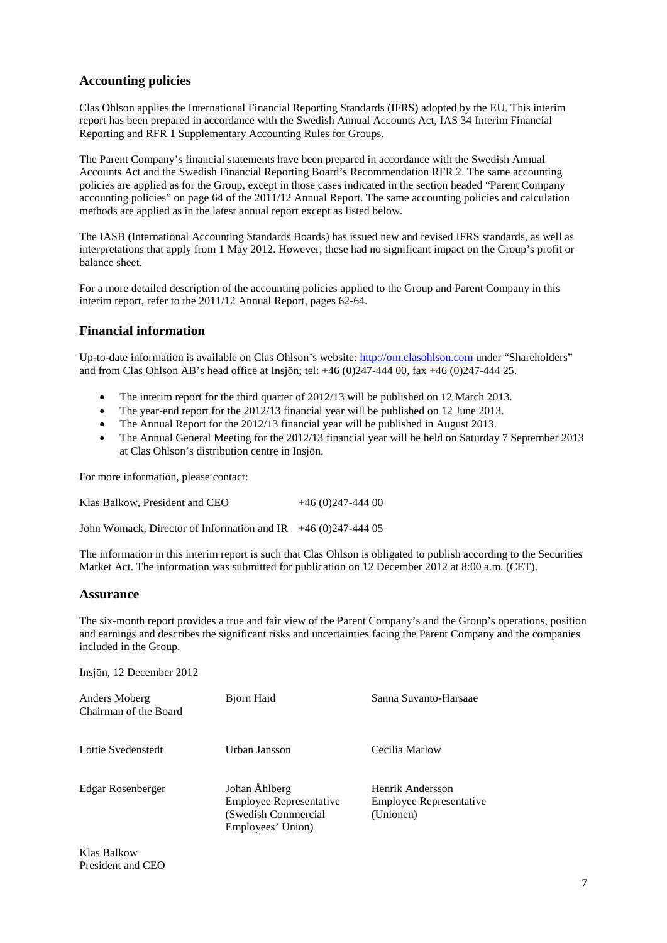### **Accounting policies**

Clas Ohlson applies the International Financial Reporting Standards (IFRS) adopted by the EU. This interim report has been prepared in accordance with the Swedish Annual Accounts Act, IAS 34 Interim Financial Reporting and RFR 1 Supplementary Accounting Rules for Groups.

The Parent Company's financial statements have been prepared in accordance with the Swedish Annual Accounts Act and the Swedish Financial Reporting Board's Recommendation RFR 2. The same accounting policies are applied as for the Group, except in those cases indicated in the section headed "Parent Company accounting policies" on page 64 of the 2011/12 Annual Report. The same accounting policies and calculation methods are applied as in the latest annual report except as listed below.

The IASB (International Accounting Standards Boards) has issued new and revised IFRS standards, as well as interpretations that apply from 1 May 2012. However, these had no significant impact on the Group's profit or balance sheet.

For a more detailed description of the accounting policies applied to the Group and Parent Company in this interim report, refer to the 2011/12 Annual Report, pages 62-64.

### **Financial information**

Up-to-date information is available on Clas Ohlson's website: [http://om.clasohlson.com](http://om.clasohlson.com/) under "Shareholders" and from Clas Ohlson AB's head office at Insjön; tel: +46 (0)247-444 00, fax +46 (0)247-444 25.

- The interim report for the third quarter of 2012/13 will be published on 12 March 2013.
- The year-end report for the 2012/13 financial year will be published on 12 June 2013.
- The Annual Report for the 2012/13 financial year will be published in August 2013.
- The Annual General Meeting for the 2012/13 financial year will be held on Saturday 7 September 2013 at Clas Ohlson's distribution centre in Insjön.

For more information, please contact:

| Klas Balkow, President and CEO | $+46(0)247-44400$ |
|--------------------------------|-------------------|
|                                |                   |

John Womack, Director of Information and IR  $+46(0)247-44405$ 

The information in this interim report is such that Clas Ohlson is obligated to publish according to the Securities Market Act. The information was submitted for publication on 12 December 2012 at 8:00 a.m. (CET).

### **Assurance**

The six-month report provides a true and fair view of the Parent Company's and the Group's operations, position and earnings and describes the significant risks and uncertainties facing the Parent Company and the companies included in the Group.

Insjön, 12 December 2012

| Anders Moberg<br>Chairman of the Board | Björn Haid                                                                                   | Sanna Suvanto-Harsaae                                           |
|----------------------------------------|----------------------------------------------------------------------------------------------|-----------------------------------------------------------------|
| Lottie Svedenstedt                     | Urban Jansson                                                                                | Cecilia Marlow                                                  |
| Edgar Rosenberger                      | Johan Åhlberg<br><b>Employee Representative</b><br>(Swedish Commercial)<br>Employees' Union) | Henrik Andersson<br><b>Employee Representative</b><br>(Unionen) |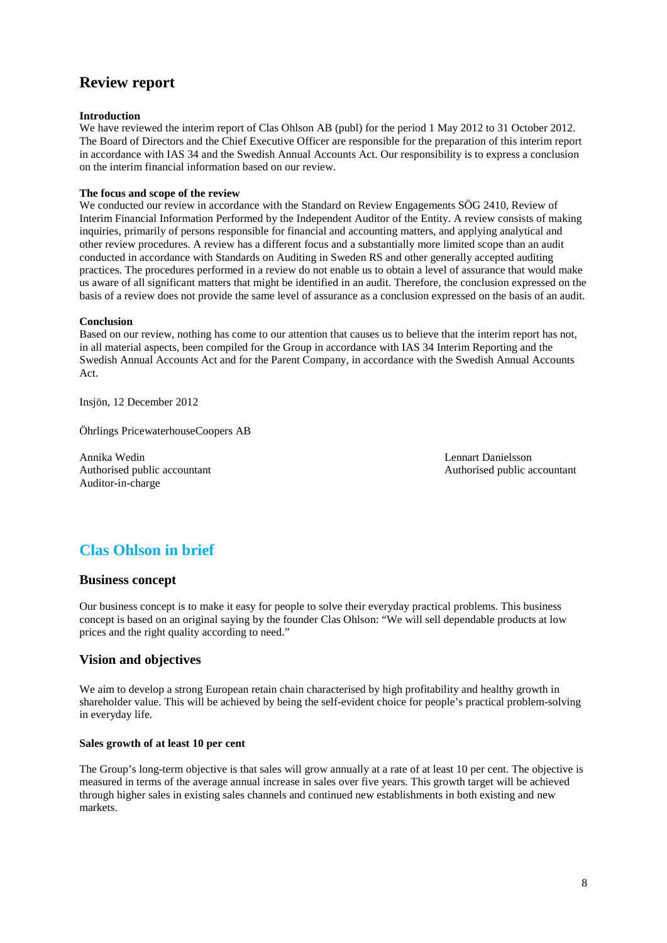# **Review report**

#### **Introduction**

We have reviewed the interim report of Clas Ohlson AB (publ) for the period 1 May 2012 to 31 October 2012. The Board of Directors and the Chief Executive Officer are responsible for the preparation of this interim report in accordance with IAS 34 and the Swedish Annual Accounts Act. Our responsibility is to express a conclusion on the interim financial information based on our review.

#### **The focus and scope of the review**

We conducted our review in accordance with the Standard on Review Engagements SÖG 2410, Review of Interim Financial Information Performed by the Independent Auditor of the Entity. A review consists of making inquiries, primarily of persons responsible for financial and accounting matters, and applying analytical and other review procedures. A review has a different focus and a substantially more limited scope than an audit conducted in accordance with Standards on Auditing in Sweden RS and other generally accepted auditing practices. The procedures performed in a review do not enable us to obtain a level of assurance that would make us aware of all significant matters that might be identified in an audit. Therefore, the conclusion expressed on the basis of a review does not provide the same level of assurance as a conclusion expressed on the basis of an audit.

#### **Conclusion**

Based on our review, nothing has come to our attention that causes us to believe that the interim report has not, in all material aspects, been compiled for the Group in accordance with IAS 34 Interim Reporting and the Swedish Annual Accounts Act and for the Parent Company, in accordance with the Swedish Annual Accounts Act.

Insjön, 12 December 2012

Öhrlings PricewaterhouseCoopers AB

Annika Wedin Lennart Danielsson Authorised public accountant Authorised public accountant Auditor-in-charge

# **Clas Ohlson in brief**

#### **Business concept**

Our business concept is to make it easy for people to solve their everyday practical problems. This business concept is based on an original saying by the founder Clas Ohlson: "We will sell dependable products at low prices and the right quality according to need."

### **Vision and objectives**

We aim to develop a strong European retain chain characterised by high profitability and healthy growth in shareholder value. This will be achieved by being the self-evident choice for people's practical problem-solving in everyday life.

#### **Sales growth of at least 10 per cent**

The Group's long-term objective is that sales will grow annually at a rate of at least 10 per cent. The objective is measured in terms of the average annual increase in sales over five years. This growth target will be achieved through higher sales in existing sales channels and continued new establishments in both existing and new markets.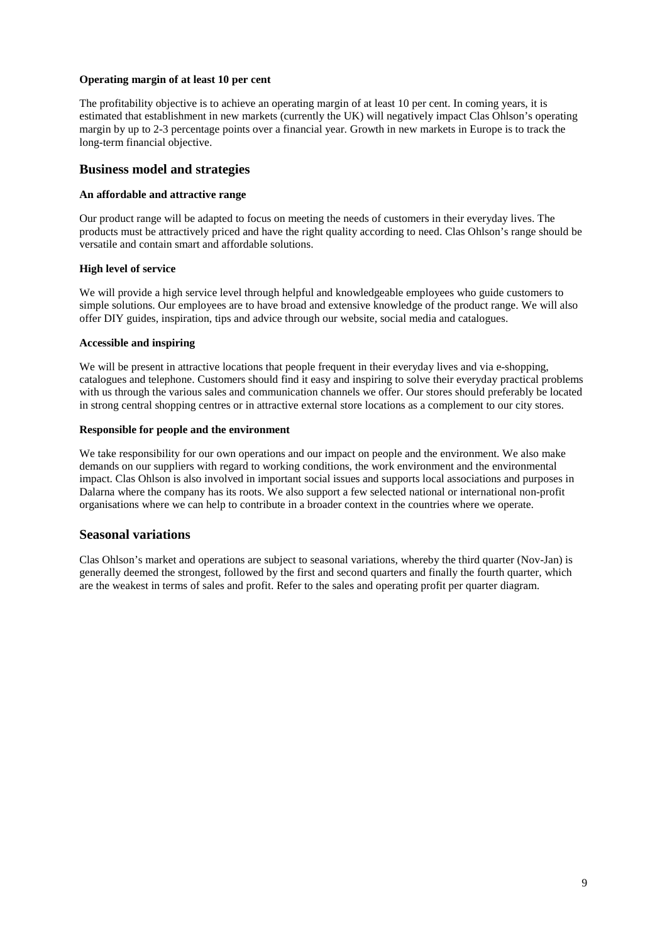#### **Operating margin of at least 10 per cent**

The profitability objective is to achieve an operating margin of at least 10 per cent. In coming years, it is estimated that establishment in new markets (currently the UK) will negatively impact Clas Ohlson's operating margin by up to 2-3 percentage points over a financial year. Growth in new markets in Europe is to track the long-term financial objective.

### **Business model and strategies**

#### **An affordable and attractive range**

Our product range will be adapted to focus on meeting the needs of customers in their everyday lives. The products must be attractively priced and have the right quality according to need. Clas Ohlson's range should be versatile and contain smart and affordable solutions.

### **High level of service**

We will provide a high service level through helpful and knowledgeable employees who guide customers to simple solutions. Our employees are to have broad and extensive knowledge of the product range. We will also offer DIY guides, inspiration, tips and advice through our website, social media and catalogues.

### **Accessible and inspiring**

We will be present in attractive locations that people frequent in their everyday lives and via e-shopping, catalogues and telephone. Customers should find it easy and inspiring to solve their everyday practical problems with us through the various sales and communication channels we offer. Our stores should preferably be located in strong central shopping centres or in attractive external store locations as a complement to our city stores.

### **Responsible for people and the environment**

We take responsibility for our own operations and our impact on people and the environment. We also make demands on our suppliers with regard to working conditions, the work environment and the environmental impact. Clas Ohlson is also involved in important social issues and supports local associations and purposes in Dalarna where the company has its roots. We also support a few selected national or international non-profit organisations where we can help to contribute in a broader context in the countries where we operate.

### **Seasonal variations**

Clas Ohlson's market and operations are subject to seasonal variations, whereby the third quarter (Nov-Jan) is generally deemed the strongest, followed by the first and second quarters and finally the fourth quarter, which are the weakest in terms of sales and profit. Refer to the sales and operating profit per quarter diagram.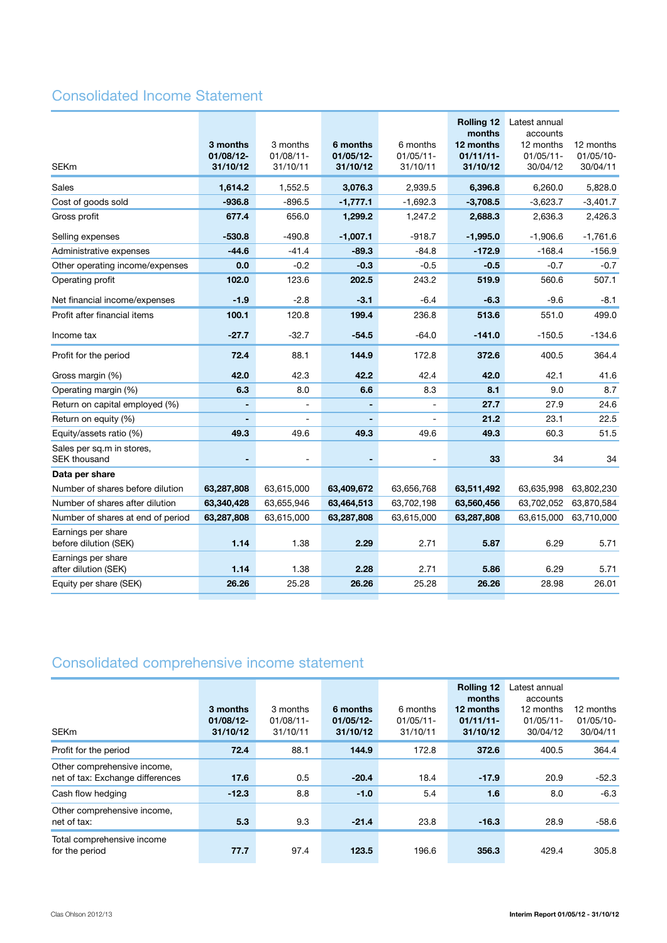# Consolidated Income Statement

| <b>SEKm</b>                                      | 3 months<br>01/08/12-<br>31/10/12 | 3 months<br>$01/08/11 -$<br>31/10/11 | 6 months<br>01/05/12-<br>31/10/12 | 6 months<br>$01/05/11 -$<br>31/10/11 | <b>Rolling 12</b><br>months<br>12 months<br>$01/11/11-$<br>31/10/12 | Latest annual<br>accounts<br>12 months<br>$01/05/11 -$<br>30/04/12 | 12 months<br>01/05/10-<br>30/04/11 |
|--------------------------------------------------|-----------------------------------|--------------------------------------|-----------------------------------|--------------------------------------|---------------------------------------------------------------------|--------------------------------------------------------------------|------------------------------------|
| Sales                                            | 1,614.2                           | 1,552.5                              | 3,076.3                           | 2,939.5                              | 6,396.8                                                             | 6,260.0                                                            | 5,828.0                            |
| Cost of goods sold                               | $-936.8$                          | $-896.5$                             | $-1,777.1$                        | $-1,692.3$                           | $-3,708.5$                                                          | $-3,623.7$                                                         | $-3,401.7$                         |
| Gross profit                                     | 677.4                             | 656.0                                | 1,299.2                           | 1,247.2                              | 2,688.3                                                             | 2,636.3                                                            | 2,426.3                            |
| Selling expenses                                 | $-530.8$                          | $-490.8$                             | $-1,007.1$                        | $-918.7$                             | $-1,995.0$                                                          | $-1,906.6$                                                         | $-1,761.6$                         |
| Administrative expenses                          | $-44.6$                           | $-41.4$                              | $-89.3$                           | $-84.8$                              | $-172.9$                                                            | $-168.4$                                                           | $-156.9$                           |
| Other operating income/expenses                  | 0.0                               | $-0.2$                               | $-0.3$                            | $-0.5$                               | $-0.5$                                                              | $-0.7$                                                             | $-0.7$                             |
| Operating profit                                 | 102.0                             | 123.6                                | 202.5                             | 243.2                                | 519.9                                                               | 560.6                                                              | 507.1                              |
| Net financial income/expenses                    | $-1.9$                            | $-2.8$                               | $-3.1$                            | $-6.4$                               | $-6.3$                                                              | $-9.6$                                                             | $-8.1$                             |
| Profit after financial items                     | 100.1                             | 120.8                                | 199.4                             | 236.8                                | 513.6                                                               | 551.0                                                              | 499.0                              |
| Income tax                                       | $-27.7$                           | $-32.7$                              | $-54.5$                           | $-64.0$                              | $-141.0$                                                            | $-150.5$                                                           | $-134.6$                           |
| Profit for the period                            | 72.4                              | 88.1                                 | 144.9                             | 172.8                                | 372.6                                                               | 400.5                                                              | 364.4                              |
| Gross margin (%)                                 | 42.0                              | 42.3                                 | 42.2                              | 42.4                                 | 42.0                                                                | 42.1                                                               | 41.6                               |
| Operating margin (%)                             | 6.3                               | 8.0                                  | 6.6                               | 8.3                                  | 8.1                                                                 | 9.0                                                                | 8.7                                |
| Return on capital employed (%)                   |                                   |                                      |                                   |                                      | 27.7                                                                | 27.9                                                               | 24.6                               |
| Return on equity (%)                             |                                   |                                      |                                   | $\overline{a}$                       | 21.2                                                                | 23.1                                                               | 22.5                               |
| Equity/assets ratio (%)                          | 49.3                              | 49.6                                 | 49.3                              | 49.6                                 | 49.3                                                                | 60.3                                                               | 51.5                               |
| Sales per sq.m in stores,<br><b>SEK thousand</b> |                                   |                                      | $\blacksquare$                    | $\overline{a}$                       | 33                                                                  | 34                                                                 | 34                                 |
| Data per share                                   |                                   |                                      |                                   |                                      |                                                                     |                                                                    |                                    |
| Number of shares before dilution                 | 63,287,808                        | 63,615,000                           | 63,409,672                        | 63,656,768                           | 63,511,492                                                          | 63,635,998                                                         | 63,802,230                         |
| Number of shares after dilution                  | 63,340,428                        | 63,655,946                           | 63,464,513                        | 63,702,198                           | 63,560,456                                                          | 63,702,052                                                         | 63,870,584                         |
| Number of shares at end of period                | 63,287,808                        | 63,615,000                           | 63,287,808                        | 63,615,000                           | 63,287,808                                                          | 63,615,000                                                         | 63,710,000                         |
| Earnings per share<br>before dilution (SEK)      | 1.14                              | 1.38                                 | 2.29                              | 2.71                                 | 5.87                                                                | 6.29                                                               | 5.71                               |
| Earnings per share<br>after dilution (SEK)       | 1.14                              | 1.38                                 | 2.28                              | 2.71                                 | 5.86                                                                | 6.29                                                               | 5.71                               |
| Equity per share (SEK)                           | 26.26                             | 25.28                                | 26.26                             | 25.28                                | 26.26                                                               | 28.98                                                              | 26.01                              |
|                                                  |                                   |                                      |                                   |                                      |                                                                     |                                                                    |                                    |

# Consolidated comprehensive income statement

| <b>SEKm</b>                                                     | 3 months<br>$01/08/12$ -<br>31/10/12 | 3 months<br>$01/08/11$ -<br>31/10/11 | 6 months<br>$01/05/12$ -<br>31/10/12 | 6 months<br>$01/05/11$ -<br>31/10/11 | <b>Rolling 12</b><br>months<br>12 months<br>$01/11/11-$<br>31/10/12 | Latest annual<br>accounts<br>12 months<br>$01/05/11$ -<br>30/04/12 | 12 months<br>$01/05/10-$<br>30/04/11 |
|-----------------------------------------------------------------|--------------------------------------|--------------------------------------|--------------------------------------|--------------------------------------|---------------------------------------------------------------------|--------------------------------------------------------------------|--------------------------------------|
| Profit for the period                                           | 72.4                                 | 88.1                                 | 144.9                                | 172.8                                | 372.6                                                               | 400.5                                                              | 364.4                                |
| Other comprehensive income,<br>net of tax: Exchange differences | 17.6                                 | 0.5                                  | $-20.4$                              | 18.4                                 | $-17.9$                                                             | 20.9                                                               | $-52.3$                              |
| Cash flow hedging                                               | $-12.3$                              | 8.8                                  | $-1.0$                               | 5.4                                  | 1.6                                                                 | 8.0                                                                | $-6.3$                               |
| Other comprehensive income,<br>net of tax:                      | 5.3                                  | 9.3                                  | $-21.4$                              | 23.8                                 | $-16.3$                                                             | 28.9                                                               | $-58.6$                              |
| Total comprehensive income<br>for the period                    | 77.7                                 | 97.4                                 | 123.5                                | 196.6                                | 356.3                                                               | 429.4                                                              | 305.8                                |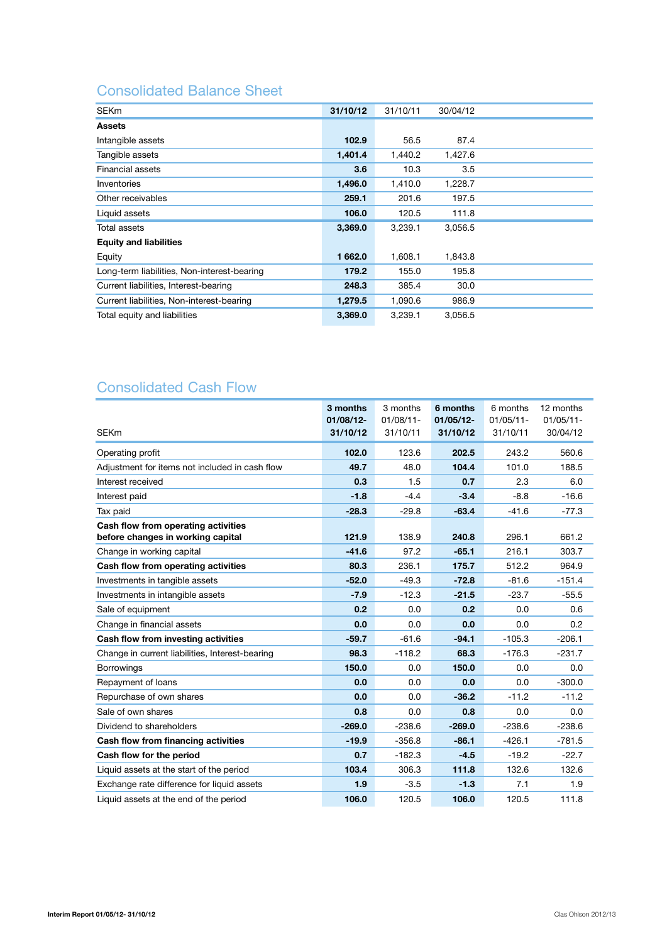# Consolidated Balance Sheet

| <b>SEKm</b>                                 | 31/10/12 | 31/10/11 | 30/04/12 |  |
|---------------------------------------------|----------|----------|----------|--|
| <b>Assets</b>                               |          |          |          |  |
| Intangible assets                           | 102.9    | 56.5     | 87.4     |  |
| Tangible assets                             | 1,401.4  | 1,440.2  | 1,427.6  |  |
| Financial assets                            | 3.6      | 10.3     | 3.5      |  |
| Inventories                                 | 1,496.0  | 1,410.0  | 1,228.7  |  |
| Other receivables                           | 259.1    | 201.6    | 197.5    |  |
| Liquid assets                               | 106.0    | 120.5    | 111.8    |  |
| Total assets                                | 3,369.0  | 3,239.1  | 3,056.5  |  |
| <b>Equity and liabilities</b>               |          |          |          |  |
| Equity                                      | 1662.0   | 1,608.1  | 1,843.8  |  |
| Long-term liabilities, Non-interest-bearing | 179.2    | 155.0    | 195.8    |  |
| Current liabilities, Interest-bearing       | 248.3    | 385.4    | 30.0     |  |
| Current liabilities, Non-interest-bearing   | 1,279.5  | 1,090.6  | 986.9    |  |
| Total equity and liabilities                | 3,369.0  | 3,239.1  | 3,056.5  |  |

# Consolidated Cash Flow

| <b>SEKm</b>                                                              | 3 months<br>01/08/12-<br>31/10/12 | 3 months<br>$01/08/11$ -<br>31/10/11 | 6 months<br>$01/05/12 -$<br>31/10/12 | 6 months<br>$01/05/11 -$<br>31/10/11 | 12 months<br>$01/05/11 -$<br>30/04/12 |
|--------------------------------------------------------------------------|-----------------------------------|--------------------------------------|--------------------------------------|--------------------------------------|---------------------------------------|
| Operating profit                                                         | 102.0                             | 123.6                                | 202.5                                | 243.2                                | 560.6                                 |
| Adjustment for items not included in cash flow                           | 49.7                              | 48.0                                 | 104.4                                | 101.0                                | 188.5                                 |
| Interest received                                                        | 0.3                               | 1.5                                  | 0.7                                  | 2.3                                  | 6.0                                   |
| Interest paid                                                            | $-1.8$                            | $-4.4$                               | $-3.4$                               | $-8.8$                               | $-16.6$                               |
| Tax paid                                                                 | $-28.3$                           | $-29.8$                              | $-63.4$                              | $-41.6$                              | $-77.3$                               |
| Cash flow from operating activities<br>before changes in working capital | 121.9                             | 138.9                                | 240.8                                | 296.1                                | 661.2                                 |
| Change in working capital                                                | $-41.6$                           | 97.2                                 | $-65.1$                              | 216.1                                | 303.7                                 |
| Cash flow from operating activities                                      | 80.3                              | 236.1                                | 175.7                                | 512.2                                | 964.9                                 |
| Investments in tangible assets                                           | $-52.0$                           | $-49.3$                              | $-72.8$                              | $-81.6$                              | $-151.4$                              |
| Investments in intangible assets                                         | $-7.9$                            | $-12.3$                              | $-21.5$                              | $-23.7$                              | $-55.5$                               |
| Sale of equipment                                                        | 0.2                               | 0.0                                  | 0.2                                  | 0.0                                  | 0.6                                   |
| Change in financial assets                                               | 0.0                               | 0.0                                  | 0.0                                  | 0.0                                  | 0.2                                   |
| Cash flow from investing activities                                      | $-59.7$                           | $-61.6$                              | $-94.1$                              | $-105.3$                             | $-206.1$                              |
| Change in current liabilities, Interest-bearing                          | 98.3                              | $-118.2$                             | 68.3                                 | $-176.3$                             | $-231.7$                              |
| <b>Borrowings</b>                                                        | 150.0                             | 0.0                                  | 150.0                                | 0.0                                  | 0.0                                   |
| Repayment of loans                                                       | 0.0                               | 0.0                                  | 0.0                                  | 0.0                                  | $-300.0$                              |
| Repurchase of own shares                                                 | 0.0                               | 0.0                                  | $-36.2$                              | $-11.2$                              | $-11.2$                               |
| Sale of own shares                                                       | 0.8                               | 0.0                                  | 0.8                                  | 0.0                                  | 0.0                                   |
| Dividend to shareholders                                                 | $-269.0$                          | $-238.6$                             | $-269.0$                             | $-238.6$                             | $-238.6$                              |
| Cash flow from financing activities                                      | $-19.9$                           | $-356.8$                             | $-86.1$                              | $-426.1$                             | $-781.5$                              |
| Cash flow for the period                                                 | 0.7                               | $-182.3$                             | $-4.5$                               | $-19.2$                              | $-22.7$                               |
| Liquid assets at the start of the period                                 | 103.4                             | 306.3                                | 111.8                                | 132.6                                | 132.6                                 |
| Exchange rate difference for liquid assets                               | 1.9                               | $-3.5$                               | $-1.3$                               | 7.1                                  | 1.9                                   |
| Liquid assets at the end of the period                                   | 106.0                             | 120.5                                | 106.0                                | 120.5                                | 111.8                                 |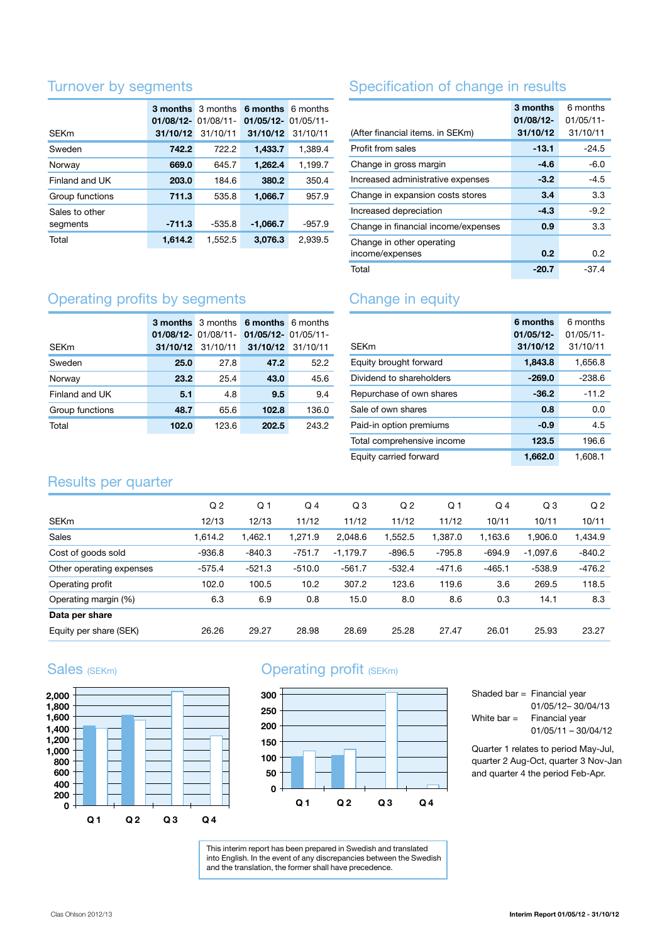### Turnover by segments

|                 | <b>3 months</b> 3 months<br>$01/08/12 - 01/08/11 -$ |          | 6 months 6 months<br>$01/05/12 - 01/05/11 -$ |          |
|-----------------|-----------------------------------------------------|----------|----------------------------------------------|----------|
| <b>SEKm</b>     | 31/10/12                                            | 31/10/11 | 31/10/12                                     | 31/10/11 |
| Sweden          | 742.2                                               | 722.2    | 1,433.7                                      | 1,389.4  |
| Norway          | 669.0                                               | 645.7    | 1,262.4                                      | 1,199.7  |
| Finland and UK  | 203.0                                               | 184.6    | 380.2                                        | 350.4    |
| Group functions | 711.3                                               | 535.8    | 1,066.7                                      | 957.9    |
| Sales to other  |                                                     |          |                                              |          |
| segments        | $-711.3$                                            | $-535.8$ | $-1,066.7$                                   | $-957.9$ |
| Total           | 1.614.2                                             | 1,552.5  | 3,076.3                                      | 2,939.5  |

# Specification of change in results

| (After financial items. in SEKm)             | 3 months<br>$01/08/12$ -<br>31/10/12 | 6 months<br>$01/05/11$ -<br>31/10/11 |
|----------------------------------------------|--------------------------------------|--------------------------------------|
| Profit from sales                            | $-13.1$                              | $-24.5$                              |
| Change in gross margin                       | -4.6                                 | $-6.0$                               |
| Increased administrative expenses            | $-3.2$                               | $-4.5$                               |
| Change in expansion costs stores             | 3.4                                  | 3.3                                  |
| Increased depreciation                       | $-4.3$                               | $-9.2$                               |
| Change in financial income/expenses          | 0.9                                  | 3.3                                  |
| Change in other operating<br>income/expenses | 0.2                                  | 0.2                                  |
| Total                                        | -20.7                                | -37.4                                |

# Operating profits by segments

| <b>SEKm</b>     | 31/10/12 | 31/10/11 | <b>3 months</b> 3 months 6 months 6 months<br>01/08/12- 01/08/11- 01/05/12- 01/05/11-<br>31/10/12 31/10/11 |       |
|-----------------|----------|----------|------------------------------------------------------------------------------------------------------------|-------|
| Sweden          | 25.0     | 27.8     | 47.2                                                                                                       | 52.2  |
| Norway          | 23.2     | 25.4     | 43.0                                                                                                       | 45.6  |
| Finland and UK  | 5.1      | 4.8      | 9.5                                                                                                        | 9.4   |
| Group functions | 48.7     | 65.6     | 102.8                                                                                                      | 136.0 |
| Total           | 102.0    | 123.6    | 202.5                                                                                                      | 243.2 |

# Change in equity

| <b>SEKm</b>                | 6 months<br>$01/05/12$ -<br>31/10/12 | 6 months<br>$01/05/11 -$<br>31/10/11 |
|----------------------------|--------------------------------------|--------------------------------------|
| Equity brought forward     | 1,843.8                              | 1,656.8                              |
| Dividend to shareholders   | $-269.0$                             | -238.6                               |
| Repurchase of own shares   | $-36.2$                              | $-11.2$                              |
| Sale of own shares         | 0.8                                  | 0.0                                  |
| Paid-in option premiums    | $-0.9$                               | 4.5                                  |
| Total comprehensive income | 123.5                                | 196.6                                |
| Equity carried forward     | 1,662.0                              | 1.608.1                              |

### Results per quarter

|                          | Q <sub>2</sub> | Q <sub>1</sub> | $Q_4$    | Q <sub>3</sub> | Q <sub>2</sub> | Q <sub>1</sub> | $Q_4$    | Q <sub>3</sub> | Q <sub>2</sub> |
|--------------------------|----------------|----------------|----------|----------------|----------------|----------------|----------|----------------|----------------|
| <b>SEKm</b>              | 12/13          | 12/13          | 11/12    | 11/12          | 11/12          | 11/12          | 10/11    | 10/11          | 10/11          |
| <b>Sales</b>             | 1,614.2        | 1,462.1        | 1,271.9  | 2,048.6        | 1,552.5        | 1,387.0        | 1,163.6  | 1,906.0        | 1,434.9        |
| Cost of goods sold       | $-936.8$       | $-840.3$       | $-751.7$ | $-1,179.7$     | $-896.5$       | $-795.8$       | -694.9   | $-1,097.6$     | $-840.2$       |
| Other operating expenses | $-575.4$       | $-521.3$       | $-510.0$ | $-561.7$       | $-532.4$       | $-471.6$       | $-465.1$ | $-538.9$       | $-476.2$       |
| Operating profit         | 102.0          | 100.5          | 10.2     | 307.2          | 123.6          | 119.6          | 3.6      | 269.5          | 118.5          |
| Operating margin (%)     | 6.3            | 6.9            | 0.8      | 15.0           | 8.0            | 8.6            | 0.3      | 14.1           | 8.3            |
| Data per share           |                |                |          |                |                |                |          |                |                |
| Equity per share (SEK)   | 26.26          | 29.27          | 28.98    | 28.69          | 25.28          | 27.47          | 26.01    | 25.93          | 23.27          |

### Sales (SEKm)



# Operating profit (SEKm)



Shaded bar = Financial year 01/05/12– 30/04/13 White  $bar =$  Financial year  $01/05/11 - 30/04/12$ 

Quarter 1 relates to period May-Jul, quarter 2 Aug-Oct, quarter 3 Nov-Jan and quarter 4 the period Feb-Apr.

This interim report has been prepared in Swedish and translated into English. In the event of any discrepancies between the Swedish and the translation, the former shall have precedence.